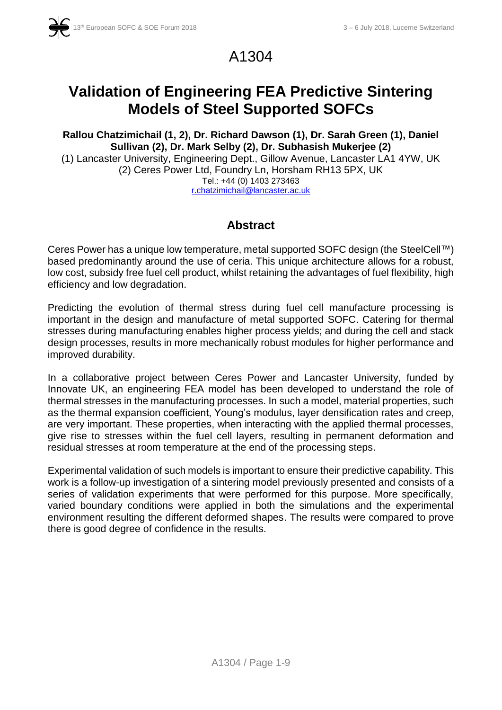

# A1304

# **Validation of Engineering FEA Predictive Sintering Models of Steel Supported SOFCs**

**Rallou Chatzimichail (1, 2), Dr. Richard Dawson (1), Dr. Sarah Green (1), Daniel Sullivan (2), Dr. Mark Selby (2), Dr. Subhasish Mukerjee (2)** (1) Lancaster University, Engineering Dept., Gillow Avenue, Lancaster LA1 4YW, UK (2) Ceres Power Ltd, Foundry Ln, Horsham RH13 5PX, UK Tel.: +44 (0) 1403 273463 [r.chatzimichail@lancaster.ac.uk](mailto:r.chatzimichail@lancaster.ac.uk)

## **Abstract**

Ceres Power has a unique low temperature, metal supported SOFC design (the SteelCell™) based predominantly around the use of ceria. This unique architecture allows for a robust, low cost, subsidy free fuel cell product, whilst retaining the advantages of fuel flexibility, high efficiency and low degradation.

Predicting the evolution of thermal stress during fuel cell manufacture processing is important in the design and manufacture of metal supported SOFC. Catering for thermal stresses during manufacturing enables higher process yields; and during the cell and stack design processes, results in more mechanically robust modules for higher performance and improved durability.

In a collaborative project between Ceres Power and Lancaster University, funded by Innovate UK, an engineering FEA model has been developed to understand the role of thermal stresses in the manufacturing processes. In such a model, material properties, such as the thermal expansion coefficient, Young's modulus, layer densification rates and creep, are very important. These properties, when interacting with the applied thermal processes, give rise to stresses within the fuel cell layers, resulting in permanent deformation and residual stresses at room temperature at the end of the processing steps.

Experimental validation of such models is important to ensure their predictive capability. This work is a follow-up investigation of a sintering model previously presented and consists of a series of validation experiments that were performed for this purpose. More specifically, varied boundary conditions were applied in both the simulations and the experimental environment resulting the different deformed shapes. The results were compared to prove there is good degree of confidence in the results.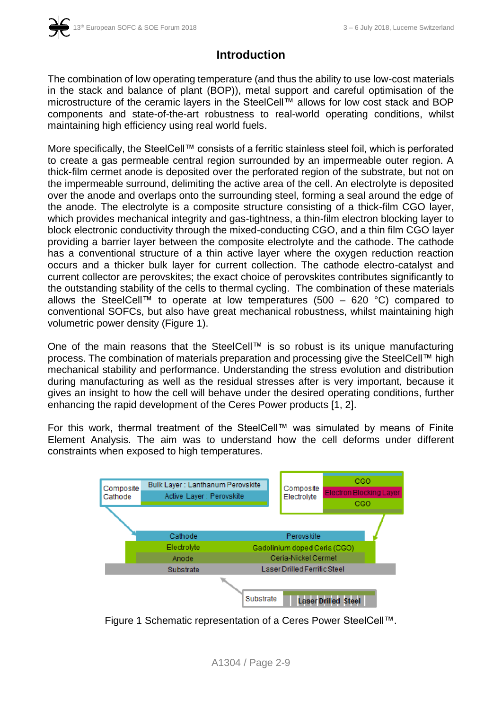## **Introduction**

The combination of low operating temperature (and thus the ability to use low-cost materials in the stack and balance of plant (BOP)), metal support and careful optimisation of the microstructure of the ceramic layers in the SteelCell™ allows for low cost stack and BOP components and state-of-the-art robustness to real-world operating conditions, whilst maintaining high efficiency using real world fuels.

More specifically, the SteelCell™ consists of a ferritic stainless steel foil, which is perforated to create a gas permeable central region surrounded by an impermeable outer region. A thick-film cermet anode is deposited over the perforated region of the substrate, but not on the impermeable surround, delimiting the active area of the cell. An electrolyte is deposited over the anode and overlaps onto the surrounding steel, forming a seal around the edge of the anode. The electrolyte is a composite structure consisting of a thick-film CGO layer, which provides mechanical integrity and gas-tightness, a thin-film electron blocking layer to block electronic conductivity through the mixed-conducting CGO, and a thin film CGO layer providing a barrier layer between the composite electrolyte and the cathode. The cathode has a conventional structure of a thin active layer where the oxygen reduction reaction occurs and a thicker bulk layer for current collection. The cathode electro-catalyst and current collector are perovskites; the exact choice of perovskites contributes significantly to the outstanding stability of the cells to thermal cycling. The combination of these materials allows the SteelCell™ to operate at low temperatures (500 – 620 °C) compared to conventional SOFCs, but also have great mechanical robustness, whilst maintaining high volumetric power density (Figure 1).

One of the main reasons that the SteelCell™ is so robust is its unique manufacturing process. The combination of materials preparation and processing give the SteelCell™ high mechanical stability and performance. Understanding the stress evolution and distribution during manufacturing as well as the residual stresses after is very important, because it gives an insight to how the cell will behave under the desired operating conditions, further enhancing the rapid development of the Ceres Power products [1, 2].

For this work, thermal treatment of the SteelCell™ was simulated by means of Finite Element Analysis. The aim was to understand how the cell deforms under different constraints when exposed to high temperatures.



Figure 1 Schematic representation of a Ceres Power SteelCell™.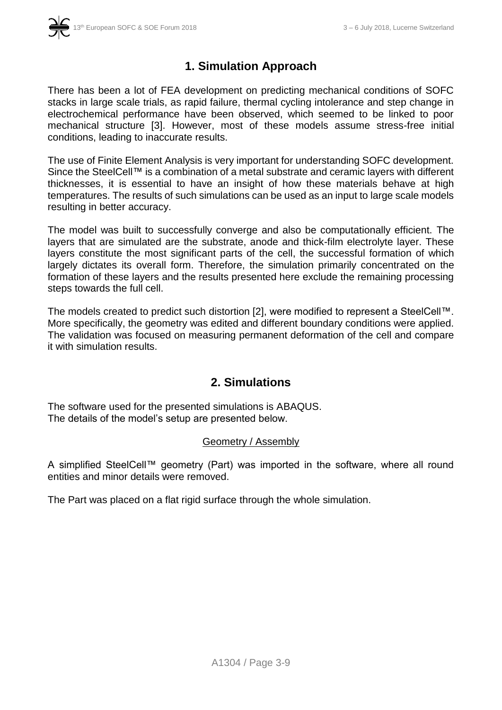

## **1. Simulation Approach**

There has been a lot of FEA development on predicting mechanical conditions of SOFC stacks in large scale trials, as rapid failure, thermal cycling intolerance and step change in electrochemical performance have been observed, which seemed to be linked to poor mechanical structure [3]. However, most of these models assume stress-free initial conditions, leading to inaccurate results.

The use of Finite Element Analysis is very important for understanding SOFC development. Since the SteelCell™ is a combination of a metal substrate and ceramic layers with different thicknesses, it is essential to have an insight of how these materials behave at high temperatures. The results of such simulations can be used as an input to large scale models resulting in better accuracy.

The model was built to successfully converge and also be computationally efficient. The layers that are simulated are the substrate, anode and thick-film electrolyte layer. These layers constitute the most significant parts of the cell, the successful formation of which largely dictates its overall form. Therefore, the simulation primarily concentrated on the formation of these layers and the results presented here exclude the remaining processing steps towards the full cell.

The models created to predict such distortion [2], were modified to represent a SteelCell™. More specifically, the geometry was edited and different boundary conditions were applied. The validation was focused on measuring permanent deformation of the cell and compare it with simulation results.

### **2. Simulations**

The software used for the presented simulations is ABAQUS. The details of the model's setup are presented below.

#### Geometry / Assembly

A simplified SteelCell™ geometry (Part) was imported in the software, where all round entities and minor details were removed.

The Part was placed on a flat rigid surface through the whole simulation.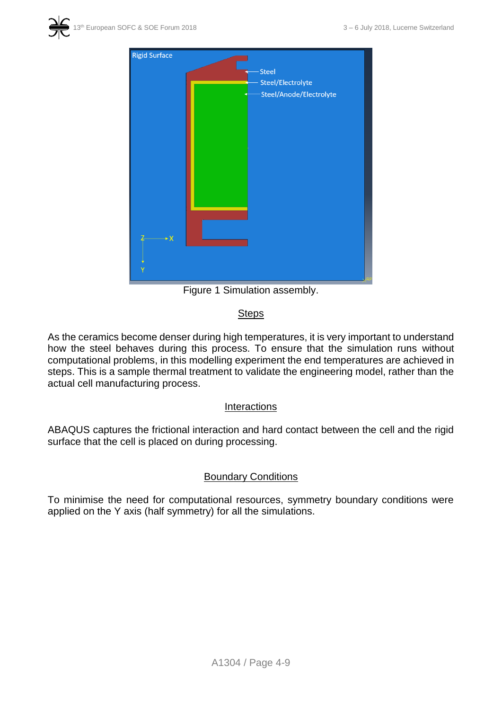



Figure 1 Simulation assembly.

#### **Steps**

As the ceramics become denser during high temperatures, it is very important to understand how the steel behaves during this process. To ensure that the simulation runs without computational problems, in this modelling experiment the end temperatures are achieved in steps. This is a sample thermal treatment to validate the engineering model, rather than the actual cell manufacturing process.

#### **Interactions**

ABAQUS captures the frictional interaction and hard contact between the cell and the rigid surface that the cell is placed on during processing.

#### Boundary Conditions

To minimise the need for computational resources, symmetry boundary conditions were applied on the Y axis (half symmetry) for all the simulations.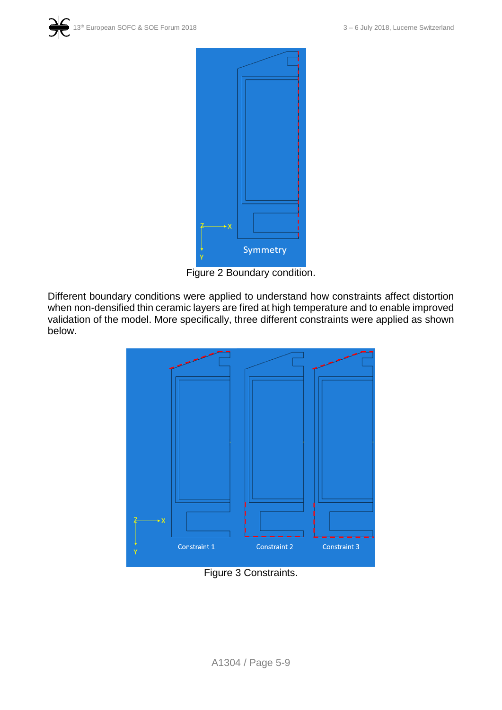



Figure 2 Boundary condition.

Different boundary conditions were applied to understand how constraints affect distortion when non-densified thin ceramic layers are fired at high temperature and to enable improved validation of the model. More specifically, three different constraints were applied as shown below.



Figure 3 Constraints.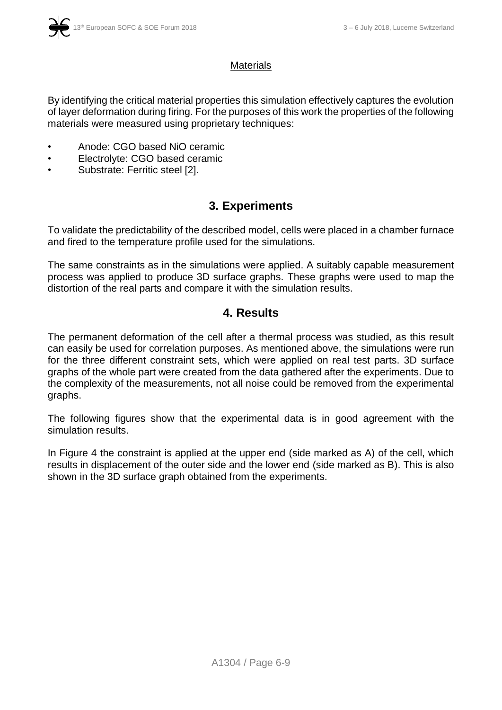#### **Materials**

By identifying the critical material properties this simulation effectively captures the evolution of layer deformation during firing. For the purposes of this work the properties of the following materials were measured using proprietary techniques:

- Anode: CGO based NiO ceramic
- Electrolyte: CGO based ceramic
- Substrate: Ferritic steel [2].

## **3. Experiments**

To validate the predictability of the described model, cells were placed in a chamber furnace and fired to the temperature profile used for the simulations.

The same constraints as in the simulations were applied. A suitably capable measurement process was applied to produce 3D surface graphs. These graphs were used to map the distortion of the real parts and compare it with the simulation results.

### **4. Results**

The permanent deformation of the cell after a thermal process was studied, as this result can easily be used for correlation purposes. As mentioned above, the simulations were run for the three different constraint sets, which were applied on real test parts. 3D surface graphs of the whole part were created from the data gathered after the experiments. Due to the complexity of the measurements, not all noise could be removed from the experimental graphs.

The following figures show that the experimental data is in good agreement with the simulation results.

In Figure 4 the constraint is applied at the upper end (side marked as A) of the cell, which results in displacement of the outer side and the lower end (side marked as B). This is also shown in the 3D surface graph obtained from the experiments.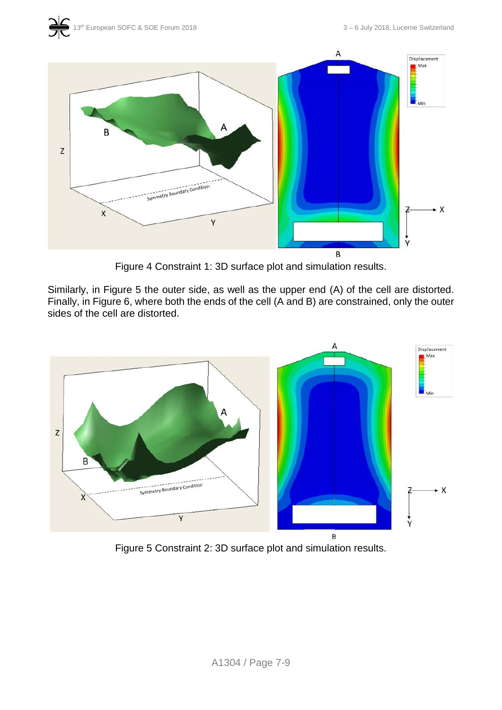



Figure 4 Constraint 1: 3D surface plot and simulation results.

Similarly, in Figure 5 the outer side, as well as the upper end (A) of the cell are distorted. Finally, in Figure 6, where both the ends of the cell (A and B) are constrained, only the outer sides of the cell are distorted.



Figure 5 Constraint 2: 3D surface plot and simulation results.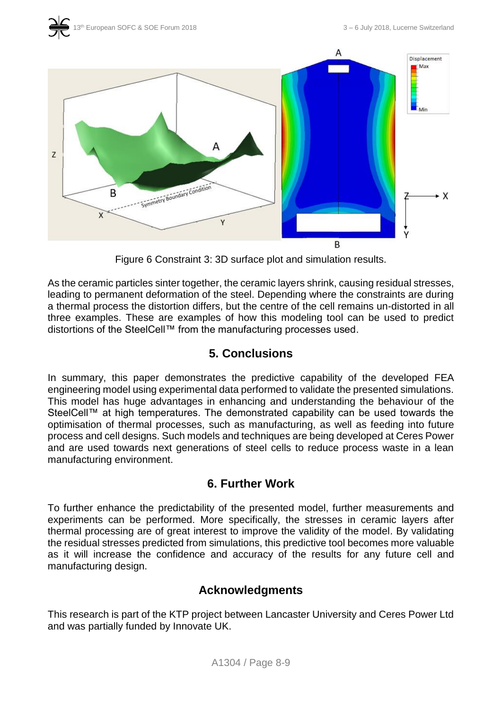



Figure 6 Constraint 3: 3D surface plot and simulation results.

As the ceramic particles sinter together, the ceramic layers shrink, causing residual stresses, leading to permanent deformation of the steel. Depending where the constraints are during a thermal process the distortion differs, but the centre of the cell remains un-distorted in all three examples. These are examples of how this modeling tool can be used to predict distortions of the SteelCell™ from the manufacturing processes used.

### **5. Conclusions**

In summary, this paper demonstrates the predictive capability of the developed FEA engineering model using experimental data performed to validate the presented simulations. This model has huge advantages in enhancing and understanding the behaviour of the SteelCell™ at high temperatures. The demonstrated capability can be used towards the optimisation of thermal processes, such as manufacturing, as well as feeding into future process and cell designs. Such models and techniques are being developed at Ceres Power and are used towards next generations of steel cells to reduce process waste in a lean manufacturing environment.

### **6. Further Work**

To further enhance the predictability of the presented model, further measurements and experiments can be performed. More specifically, the stresses in ceramic layers after thermal processing are of great interest to improve the validity of the model. By validating the residual stresses predicted from simulations, this predictive tool becomes more valuable as it will increase the confidence and accuracy of the results for any future cell and manufacturing design.

### **Acknowledgments**

This research is part of the KTP project between Lancaster University and Ceres Power Ltd and was partially funded by Innovate UK.